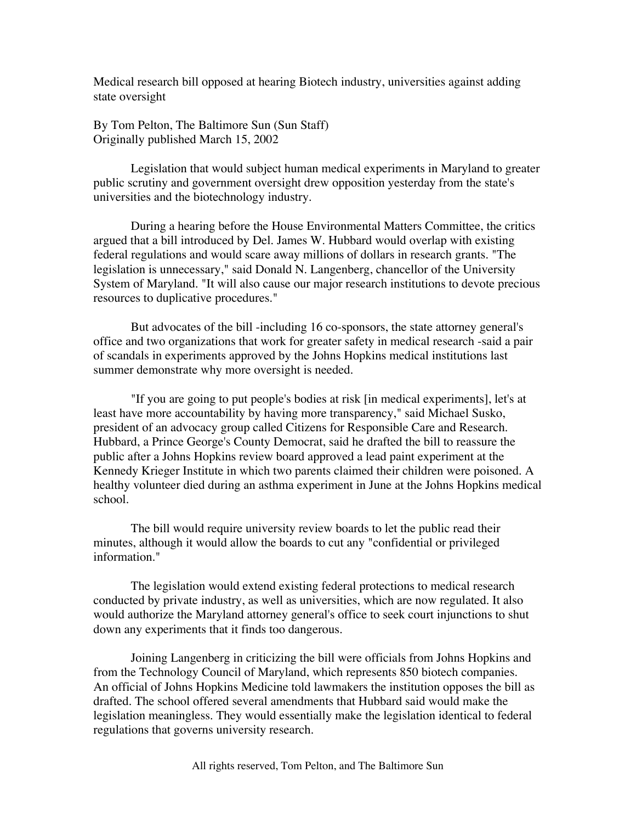Medical research bill opposed at hearing Biotech industry, universities against adding state oversight

By Tom Pelton, The Baltimore Sun (Sun Staff) Originally published March 15, 2002

Legislation that would subject human medical experiments in Maryland to greater public scrutiny and government oversight drew opposition yesterday from the state's universities and the biotechnology industry.

During a hearing before the House Environmental Matters Committee, the critics argued that a bill introduced by Del. James W. Hubbard would overlap with existing federal regulations and would scare away millions of dollars in research grants. "The legislation is unnecessary," said Donald N. Langenberg, chancellor of the University System of Maryland. "It will also cause our major research institutions to devote precious resources to duplicative procedures."

But advocates of the bill -including 16 co-sponsors, the state attorney general's office and two organizations that work for greater safety in medical research -said a pair of scandals in experiments approved by the Johns Hopkins medical institutions last summer demonstrate why more oversight is needed.

"If you are going to put people's bodies at risk [in medical experiments], let's at least have more accountability by having more transparency," said Michael Susko, president of an advocacy group called Citizens for Responsible Care and Research. Hubbard, a Prince George's County Democrat, said he drafted the bill to reassure the public after a Johns Hopkins review board approved a lead paint experiment at the Kennedy Krieger Institute in which two parents claimed their children were poisoned. A healthy volunteer died during an asthma experiment in June at the Johns Hopkins medical school.

The bill would require university review boards to let the public read their minutes, although it would allow the boards to cut any "confidential or privileged information."

The legislation would extend existing federal protections to medical research conducted by private industry, as well as universities, which are now regulated. It also would authorize the Maryland attorney general's office to seek court injunctions to shut down any experiments that it finds too dangerous.

Joining Langenberg in criticizing the bill were officials from Johns Hopkins and from the Technology Council of Maryland, which represents 850 biotech companies. An official of Johns Hopkins Medicine told lawmakers the institution opposes the bill as drafted. The school offered several amendments that Hubbard said would make the legislation meaningless. They would essentially make the legislation identical to federal regulations that governs university research.